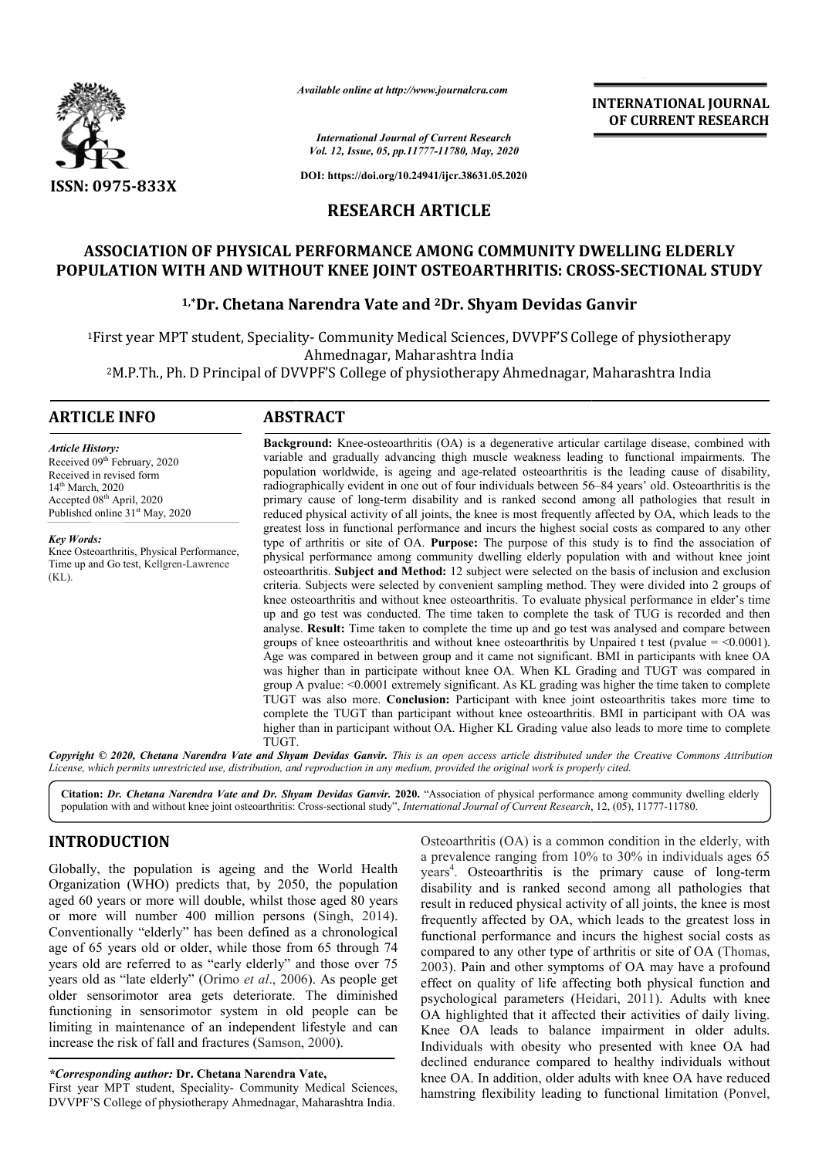

*Available online at http://www.journalcra.com*

*International Journal of Current Research Vol. 12, Issue, 05, pp.11777-11780, May, 2020*

**DOI: https://doi.org/10.24941/ijcr.38631.05.2020**

# **RESEARCH ARTICLE**

# **ASSOCIATION OF PHYSICAL PERFORMANCE AMONG COMMUNITY DWELLING ELDERLY POPULATION WITH AND WITHOUT KNEE JOINT OSTEOARTHRITIS: CROSS CROSS-SECTIONAL STUDY**

## **1,\*Dr. Chetana Narendra Vate and 2Dr. Shyam Devidas Ganvir**

<sup>1</sup>First year MPT student, Speciality- Community Medical Sciences, DVVPF'S College of physiotherapy Ahmednagar, Maharashtra India

2M.P.Th., Ph. D Principal of DVVPF'S College of physiotherapy Ahmednagar, Maharashtra India

### **ARTICLE INFO ABSTRACT**

Received 09<sup>th</sup> February, 2020 Received in revised form 14<sup>th</sup> March, 2020 Accepted 08<sup>th</sup> April, 2020 Published online 31<sup>st</sup> May, 2020

Knee Osteoarthritis, Physical Performance, Time up and Go test, Kellgren-Lawrence

*Article History:*

*Key Words:*

(KL).

**Background:** Knee-osteoarthritis (OA) is a degenerative articular cartilage disease, combined with variable and gradually advancing thigh muscle weakness leading to functional impairments. The population worldwide, is ageing and age-related osteoarthritis is the leading cause of disability, radiographically evident in one out of four individuals between 56 56–84 years' old. Osteoarthritis is the primary cause of long-term disability and is ranked second among all pathologies that result in reduced physical activity of all joints, the knee is most frequently affected by OA, which leads to the greatest loss in functional performance and incurs the highest social social costs as compared to any other type of arthritis or site of OA. **Purpose:** The purpose of this study is to find the association of physical performance among community dwelling elderly population with and without knee joint osteoarthritis. **Subject and Method:** 12 subject were selected on the basis of inclusion and exclusion criteria. Subjects were selected by convenient sampling method. They were divided into 2 groups of knee osteoarthritis and without knee osteoarthritis. To evaluate physical performance in elder's time up and go test was conducted. The time taken to complete the task of TUG is recorded and then analyse. **Result:** Time taken to complete the time up and go test was analysed and compare between groups of knee osteoarthritis and without knee osteoarthritis by Unpaired t test (pvalue =  $\leq 0.0001$ ). Age was compared in between group and it came not significant. BMI in participants with knee OA was higher than in participate without knee OA. When KL Grading and TUGT was compared in group A pvalue: <0.0001 extremely significant. As KL grading was higher the time taken to complete TUGT was also more. **Conclusion:** Participant with knee joint osteoarthritis takes more time to complete the TUGT than participant without knee osteoarthritis. BMI in participant with OA was higher than in participant without OA. Higher KL Grading value also leads to more time to complete TUGT.

Copyright © 2020, Chetana Narendra Vate and Shyam Devidas Ganvir. This is an open access article distributed under the Creative Commons Attribution License, which permits unrestricted use, distribution, and reproduction in any medium, provided the original work is properly cited.

**Citation:** *Dr. Chetana Narendra Vate and Dr. Shyam Devidas Ganvir.* **2020.** "Association of physical performance among community dwelling elderly population with and without knee joint osteoarthritis: Cross-sectional study", *International Journal of Current Research*, 12, (05), 11777-11780.

## **INTRODUCTION**

Globally, the population is ageing and the World Health Organization (WHO) predicts that, by 2050, the population aged 60 years or more will double, whilst those aged 80 years or more will number 400 million persons (Singh, 2014). Conventionally "elderly" has been defined as a chronological age of 65 years old or older, while those from 65 through 74 years old are referred to as "early elderly" and those over 75 years old as "late elderly" (Orimo et al., 2006). As people get older sensorimotor area gets deteriorate. The diminished functioning in sensorimotor system in old people can be limiting in maintenance of an independent lifestyle and can increase the risk of fall and fractures (Samson, 2000).

*\*Corresponding author:* **Dr. Chetana Narendra Vate,**

First year MPT student, Speciality- Community Medical Sciences, DVVPF'S College of physiotherapy Ahmednagar, Maharashtra India.

Osteoarthritis (OA) is a common condition in the elderly, with a prevalence ranging from 10% to 30% in individuals ages 65 years<sup>4</sup>. Osteoarthritis is the primary cause of long-term disability and is ranked second among all pathologies that result in reduced physical activity of all joints, the knee is most frequently affected by OA, which leads to the greatest loss in functional performance and incurs the highest social costs as compared to any other type of arthritis or site of OA (Thomas, 2003). Pain and other symptoms of OA may have a profound effect on quality of life affecting both physical function and psychological parameters (Heidari, 2011). Adults with knee OA highlighted that it affected their activities of daily living. Knee OA leads to balance impairment in older adults. Individuals with obesity who presented with knee OA had declined endurance compared to healthy individuals without knee OA. In addition, older adults with knee OA have reduced hamstring flexibility leading to functional limitation (Ponvel,

**INTERNATIONAL JOURNAL OF CURRENT RESEARCH**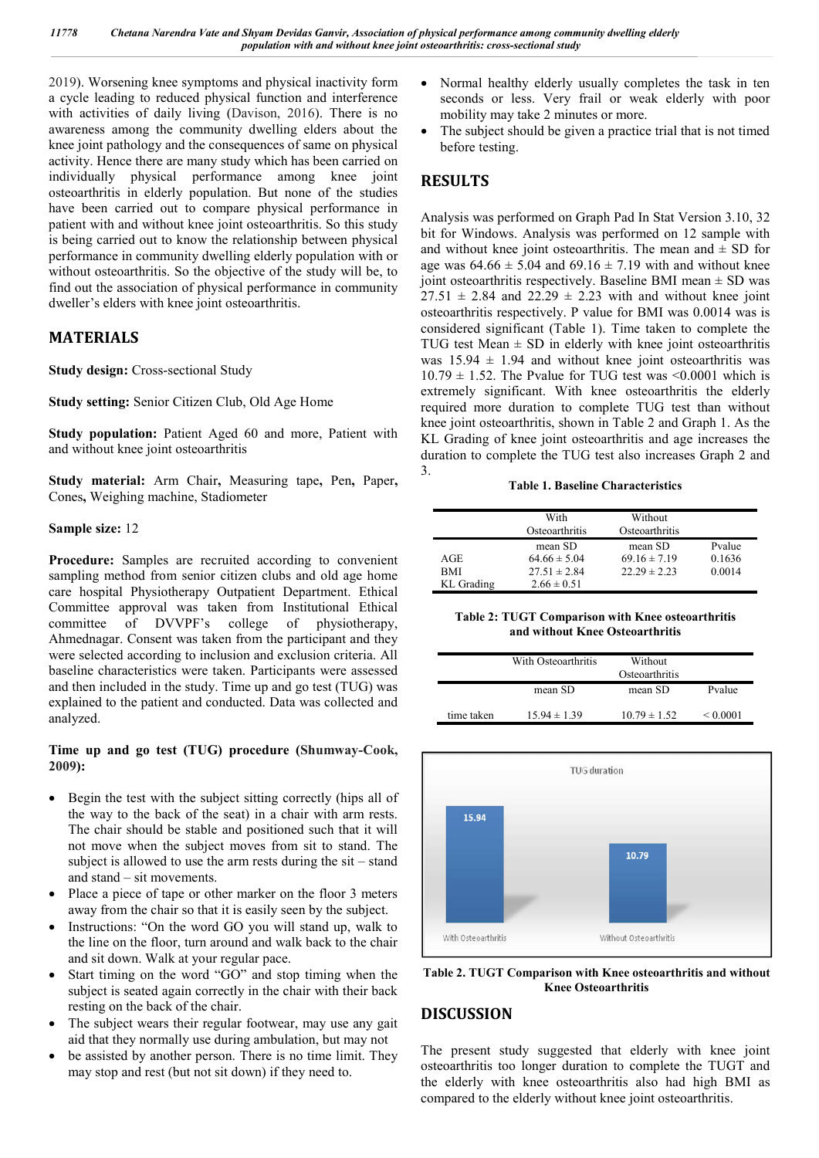2019). Worsening knee symptoms and physical inactivity form a cycle leading to reduced physical function and interference with activities of daily living (Davison, 2016). There is no awareness among the community dwelling elders about the knee joint pathology and the consequences of same on physical activity. Hence there are many study which has been carried on individually physical performance among knee joint osteoarthritis in elderly population. But none of the studies have been carried out to compare physical performance in patient with and without knee joint osteoarthritis. So this study is being carried out to know the relationship between physical performance in community dwelling elderly population with or without osteoarthritis. So the objective of the study will be, to find out the association of physical performance in community dweller's elders with knee joint osteoarthritis.

## **MATERIALS**

**Study design:** Cross-sectional Study

**Study setting:** Senior Citizen Club, Old Age Home

**Study population:** Patient Aged 60 and more, Patient with and without knee joint osteoarthritis

**Study material:** Arm Chair**,** Measuring tape**,** Pen**,** Paper**,** Cones**,** Weighing machine, Stadiometer

### **Sample size:** 12

**Procedure:** Samples are recruited according to convenient sampling method from senior citizen clubs and old age home care hospital Physiotherapy Outpatient Department. Ethical Committee approval was taken from Institutional Ethical committee of DVVPF's college of physiotherapy, Ahmednagar. Consent was taken from the participant and they were selected according to inclusion and exclusion criteria. All baseline characteristics were taken. Participants were assessed and then included in the study. Time up and go test (TUG) was explained to the patient and conducted. Data was collected and analyzed.

### **Time up and go test (TUG) procedure (Shumway-Cook, 2009):**

- Begin the test with the subject sitting correctly (hips all of the way to the back of the seat) in a chair with arm rests. The chair should be stable and positioned such that it will not move when the subject moves from sit to stand. The subject is allowed to use the arm rests during the sit – stand and stand – sit movements.
- Place a piece of tape or other marker on the floor 3 meters away from the chair so that it is easily seen by the subject.
- Instructions: "On the word GO you will stand up, walk to the line on the floor, turn around and walk back to the chair and sit down. Walk at your regular pace.
- Start timing on the word "GO" and stop timing when the subject is seated again correctly in the chair with their back resting on the back of the chair.
- The subject wears their regular footwear, may use any gait aid that they normally use during ambulation, but may not
- be assisted by another person. There is no time limit. They may stop and rest (but not sit down) if they need to.
- Normal healthy elderly usually completes the task in ten seconds or less. Very frail or weak elderly with poor mobility may take 2 minutes or more.
- The subject should be given a practice trial that is not timed before testing.

# **RESULTS**

Analysis was performed on Graph Pad In Stat Version 3.10, 32 bit for Windows. Analysis was performed on 12 sample with and without knee joint osteoarthritis. The mean and  $\pm$  SD for age was  $64.66 \pm 5.04$  and  $69.16 \pm 7.19$  with and without knee joint osteoarthritis respectively. Baseline BMI mean  $\pm$  SD was  $27.51 \pm 2.84$  and  $22.29 \pm 2.23$  with and without knee joint osteoarthritis respectively. P value for BMI was 0.0014 was is considered significant (Table 1). Time taken to complete the TUG test Mean  $\pm$  SD in elderly with knee joint osteoarthritis was  $15.94 \pm 1.94$  and without knee joint osteoarthritis was  $10.79 \pm 1.52$ . The Pvalue for TUG test was <0.0001 which is extremely significant. With knee osteoarthritis the elderly required more duration to complete TUG test than without knee joint osteoarthritis, shown in Table 2 and Graph 1. As the KL Grading of knee joint osteoarthritis and age increases the duration to complete the TUG test also increases Graph 2 and 3.

**Table 1. Baseline Characteristics**

|            | With<br>Osteoarthritis | Without<br>Osteoarthritis |        |
|------------|------------------------|---------------------------|--------|
|            | mean SD                | mean SD                   | Pvalue |
| AGE        | $64.66 \pm 5.04$       | $69.16 \pm 7.19$          | 0.1636 |
| <b>BMI</b> | $27.51 \pm 2.84$       | $22.29 \pm 2.23$          | 0.0014 |
| KL Grading | $2.66 \pm 0.51$        |                           |        |

**Table 2: TUGT Comparison with Knee osteoarthritis and without Knee Osteoarthritis**

|            | With Osteoarthritis | Without<br>Osteoarthritis |               |
|------------|---------------------|---------------------------|---------------|
|            | mean SD             | mean SD                   | Pvalue        |
| time taken | $15.94 \pm 1.39$    | $10.79 \pm 1.52$          | ${}_{0.0001}$ |



**Table 2. TUGT Comparison with Knee osteoarthritis and without Knee Osteoarthritis**

### **DISCUSSION**

The present study suggested that elderly with knee joint osteoarthritis too longer duration to complete the TUGT and the elderly with knee osteoarthritis also had high BMI as compared to the elderly without knee joint osteoarthritis.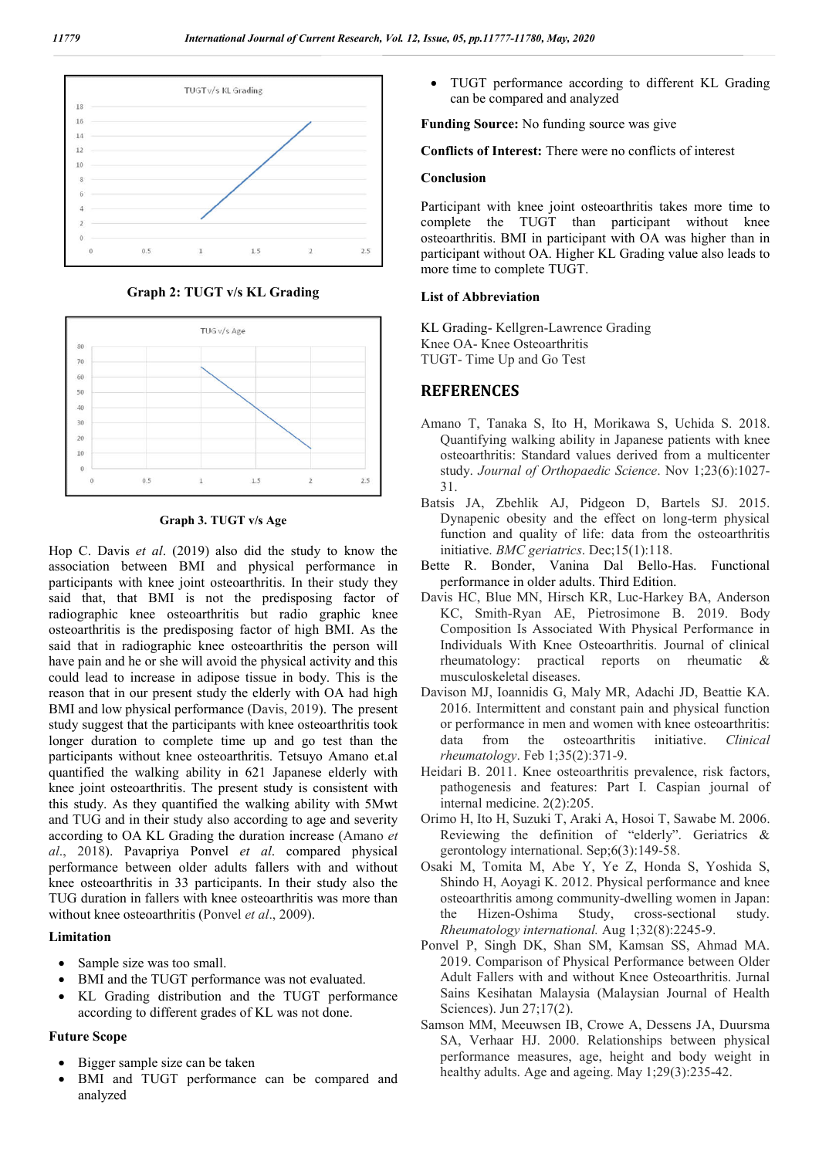

**Graph 2: TUGT v/s KL Grading**



**Graph 3. TUGT v/s Age**

Hop C. Davis *et al*. (2019) also did the study to know the association between BMI and physical performance in participants with knee joint osteoarthritis. In their study they said that, that BMI is not the predisposing factor of radiographic knee osteoarthritis but radio graphic knee osteoarthritis is the predisposing factor of high BMI. As the said that in radiographic knee osteoarthritis the person will have pain and he or she will avoid the physical activity and this could lead to increase in adipose tissue in body. This is the reason that in our present study the elderly with OA had high BMI and low physical performance (Davis, 2019). The present study suggest that the participants with knee osteoarthritis took longer duration to complete time up and go test than the participants without knee osteoarthritis. Tetsuyo Amano et.al quantified the walking ability in 621 Japanese elderly with knee joint osteoarthritis. The present study is consistent with this study. As they quantified the walking ability with 5Mwt and TUG and in their study also according to age and severity according to OA KL Grading the duration increase (Amano *et al*., 2018). Pavapriya Ponvel *et al*. compared physical performance between older adults fallers with and without knee osteoarthritis in 33 participants. In their study also the TUG duration in fallers with knee osteoarthritis was more than without knee osteoarthritis (Ponvel *et al*., 2009).

### **Limitation**

- Sample size was too small.
- BMI and the TUGT performance was not evaluated.
- KL Grading distribution and the TUGT performance according to different grades of KL was not done.

### **Future Scope**

- Bigger sample size can be taken
- BMI and TUGT performance can be compared and analyzed

 TUGT performance according to different KL Grading can be compared and analyzed

**Funding Source:** No funding source was give

**Conflicts of Interest:** There were no conflicts of interest

#### **Conclusion**

Participant with knee joint osteoarthritis takes more time to complete the TUGT than participant without knee osteoarthritis. BMI in participant with OA was higher than in participant without OA. Higher KL Grading value also leads to more time to complete TUGT.

### **List of Abbreviation**

KL Grading- Kellgren-Lawrence Grading Knee OA- Knee Osteoarthritis TUGT- Time Up and Go Test

## **REFERENCES**

- Amano T, Tanaka S, Ito H, Morikawa S, Uchida S. 2018. Quantifying walking ability in Japanese patients with knee osteoarthritis: Standard values derived from a multicenter study. *Journal of Orthopaedic Science*. Nov 1;23(6):1027- 31.
- Batsis JA, Zbehlik AJ, Pidgeon D, Bartels SJ. 2015. Dynapenic obesity and the effect on long-term physical function and quality of life: data from the osteoarthritis initiative. *BMC geriatrics*. Dec;15(1):118.
- Bette R. Bonder, Vanina Dal Bello-Has. Functional performance in older adults. Third Edition.
- Davis HC, Blue MN, Hirsch KR, Luc-Harkey BA, Anderson KC, Smith-Ryan AE, Pietrosimone B. 2019. Body Composition Is Associated With Physical Performance in Individuals With Knee Osteoarthritis. Journal of clinical rheumatology: practical reports on rheumatic & musculoskeletal diseases.
- Davison MJ, Ioannidis G, Maly MR, Adachi JD, Beattie KA. 2016. Intermittent and constant pain and physical function or performance in men and women with knee osteoarthritis: data from the osteoarthritis initiative. *Clinical rheumatology*. Feb 1;35(2):371-9.
- Heidari B. 2011. Knee osteoarthritis prevalence, risk factors, pathogenesis and features: Part I. Caspian journal of internal medicine. 2(2):205.
- Orimo H, Ito H, Suzuki T, Araki A, Hosoi T, Sawabe M. 2006. Reviewing the definition of "elderly". Geriatrics & gerontology international. Sep;6(3):149-58.
- Osaki M, Tomita M, Abe Y, Ye Z, Honda S, Yoshida S, Shindo H, Aoyagi K. 2012. Physical performance and knee osteoarthritis among community-dwelling women in Japan: the Hizen-Oshima Study, cross-sectional study. *Rheumatology international.* Aug 1;32(8):2245-9.
- Ponvel P, Singh DK, Shan SM, Kamsan SS, Ahmad MA. 2019. Comparison of Physical Performance between Older Adult Fallers with and without Knee Osteoarthritis. Jurnal Sains Kesihatan Malaysia (Malaysian Journal of Health Sciences). Jun 27;17(2).
- Samson MM, Meeuwsen IB, Crowe A, Dessens JA, Duursma SA, Verhaar HJ. 2000. Relationships between physical performance measures, age, height and body weight in healthy adults. Age and ageing. May 1;29(3):235-42.